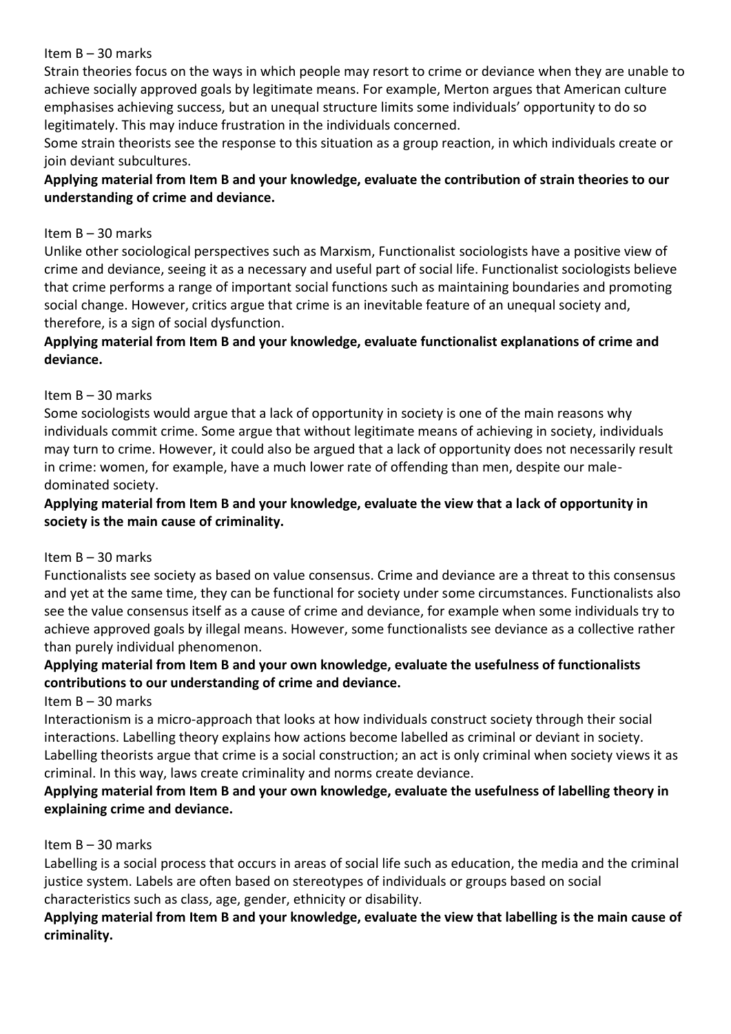Strain theories focus on the ways in which people may resort to crime or deviance when they are unable to achieve socially approved goals by legitimate means. For example, Merton argues that American culture emphasises achieving success, but an unequal structure limits some individuals' opportunity to do so legitimately. This may induce frustration in the individuals concerned.

Some strain theorists see the response to this situation as a group reaction, in which individuals create or join deviant subcultures.

# **Applying material from Item B and your knowledge, evaluate the contribution of strain theories to our understanding of crime and deviance.**

### Item B – 30 marks

Unlike other sociological perspectives such as Marxism, Functionalist sociologists have a positive view of crime and deviance, seeing it as a necessary and useful part of social life. Functionalist sociologists believe that crime performs a range of important social functions such as maintaining boundaries and promoting social change. However, critics argue that crime is an inevitable feature of an unequal society and, therefore, is a sign of social dysfunction.

# **Applying material from Item B and your knowledge, evaluate functionalist explanations of crime and deviance.**

# Item B – 30 marks

Some sociologists would argue that a lack of opportunity in society is one of the main reasons why individuals commit crime. Some argue that without legitimate means of achieving in society, individuals may turn to crime. However, it could also be argued that a lack of opportunity does not necessarily result in crime: women, for example, have a much lower rate of offending than men, despite our maledominated society.

# **Applying material from Item B and your knowledge, evaluate the view that a lack of opportunity in society is the main cause of criminality.**

# Item B – 30 marks

Functionalists see society as based on value consensus. Crime and deviance are a threat to this consensus and yet at the same time, they can be functional for society under some circumstances. Functionalists also see the value consensus itself as a cause of crime and deviance, for example when some individuals try to achieve approved goals by illegal means. However, some functionalists see deviance as a collective rather than purely individual phenomenon.

# **Applying material from Item B and your own knowledge, evaluate the usefulness of functionalists contributions to our understanding of crime and deviance.**

Item B – 30 marks

Interactionism is a micro-approach that looks at how individuals construct society through their social interactions. Labelling theory explains how actions become labelled as criminal or deviant in society. Labelling theorists argue that crime is a social construction; an act is only criminal when society views it as criminal. In this way, laws create criminality and norms create deviance.

# **Applying material from Item B and your own knowledge, evaluate the usefulness of labelling theory in explaining crime and deviance.**

# Item B – 30 marks

Labelling is a social process that occurs in areas of social life such as education, the media and the criminal justice system. Labels are often based on stereotypes of individuals or groups based on social characteristics such as class, age, gender, ethnicity or disability.

# **Applying material from Item B and your knowledge, evaluate the view that labelling is the main cause of criminality.**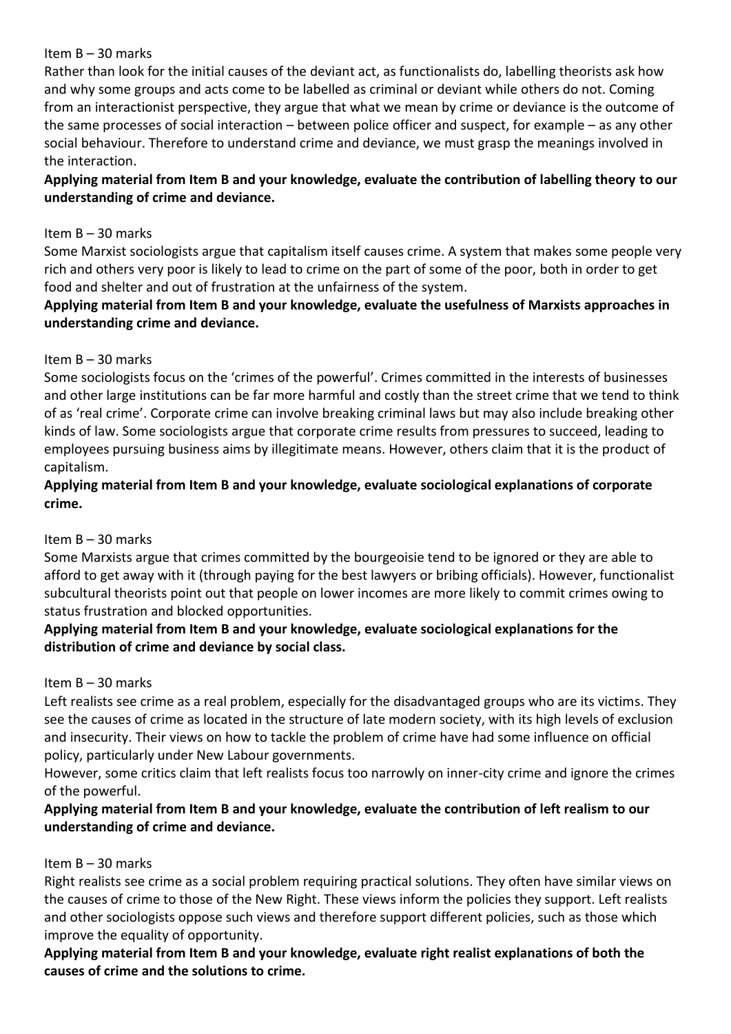Rather than look for the initial causes of the deviant act, as functionalists do, labelling theorists ask how and why some groups and acts come to be labelled as criminal or deviant while others do not. Coming from an interactionist perspective, they argue that what we mean by crime or deviance is the outcome of the same processes of social interaction – between police officer and suspect, for example – as any other social behaviour. Therefore to understand crime and deviance, we must grasp the meanings involved in the interaction.

# **Applying material from Item B and your knowledge, evaluate the contribution of labelling theory to our understanding of crime and deviance.**

### Item B – 30 marks

Some Marxist sociologists argue that capitalism itself causes crime. A system that makes some people very rich and others very poor is likely to lead to crime on the part of some of the poor, both in order to get food and shelter and out of frustration at the unfairness of the system.

# **Applying material from Item B and your knowledge, evaluate the usefulness of Marxists approaches in understanding crime and deviance.**

# Item B – 30 marks

Some sociologists focus on the 'crimes of the powerful'. Crimes committed in the interests of businesses and other large institutions can be far more harmful and costly than the street crime that we tend to think of as 'real crime'. Corporate crime can involve breaking criminal laws but may also include breaking other kinds of law. Some sociologists argue that corporate crime results from pressures to succeed, leading to employees pursuing business aims by illegitimate means. However, others claim that it is the product of capitalism.

# **Applying material from Item B and your knowledge, evaluate sociological explanations of corporate crime.**

# Item B – 30 marks

Some Marxists argue that crimes committed by the bourgeoisie tend to be ignored or they are able to afford to get away with it (through paying for the best lawyers or bribing officials). However, functionalist subcultural theorists point out that people on lower incomes are more likely to commit crimes owing to status frustration and blocked opportunities.

# **Applying material from Item B and your knowledge, evaluate sociological explanations for the distribution of crime and deviance by social class.**

# Item B – 30 marks

Left realists see crime as a real problem, especially for the disadvantaged groups who are its victims. They see the causes of crime as located in the structure of late modern society, with its high levels of exclusion and insecurity. Their views on how to tackle the problem of crime have had some influence on official policy, particularly under New Labour governments.

However, some critics claim that left realists focus too narrowly on inner-city crime and ignore the crimes of the powerful.

# **Applying material from Item B and your knowledge, evaluate the contribution of left realism to our understanding of crime and deviance.**

#### Item B – 30 marks

Right realists see crime as a social problem requiring practical solutions. They often have similar views on the causes of crime to those of the New Right. These views inform the policies they support. Left realists and other sociologists oppose such views and therefore support different policies, such as those which improve the equality of opportunity.

**Applying material from Item B and your knowledge, evaluate right realist explanations of both the causes of crime and the solutions to crime.**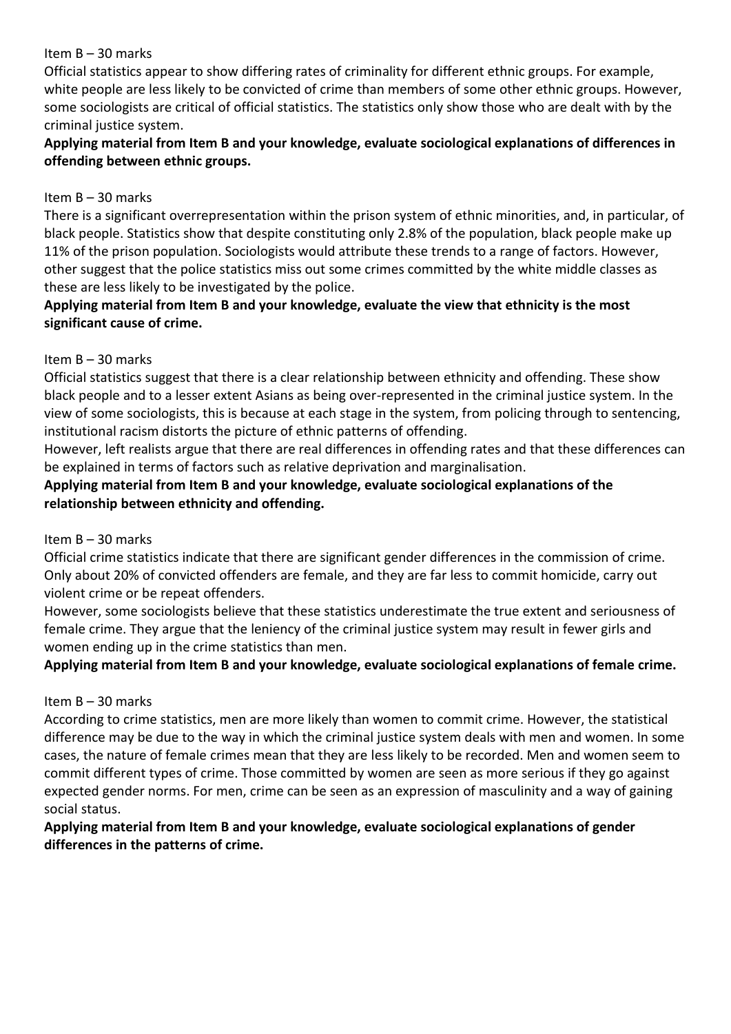Official statistics appear to show differing rates of criminality for different ethnic groups. For example, white people are less likely to be convicted of crime than members of some other ethnic groups. However, some sociologists are critical of official statistics. The statistics only show those who are dealt with by the criminal justice system.

# **Applying material from Item B and your knowledge, evaluate sociological explanations of differences in offending between ethnic groups.**

#### Item B – 30 marks

There is a significant overrepresentation within the prison system of ethnic minorities, and, in particular, of black people. Statistics show that despite constituting only 2.8% of the population, black people make up 11% of the prison population. Sociologists would attribute these trends to a range of factors. However, other suggest that the police statistics miss out some crimes committed by the white middle classes as these are less likely to be investigated by the police.

# **Applying material from Item B and your knowledge, evaluate the view that ethnicity is the most significant cause of crime.**

#### Item B – 30 marks

Official statistics suggest that there is a clear relationship between ethnicity and offending. These show black people and to a lesser extent Asians as being over-represented in the criminal justice system. In the view of some sociologists, this is because at each stage in the system, from policing through to sentencing, institutional racism distorts the picture of ethnic patterns of offending.

However, left realists argue that there are real differences in offending rates and that these differences can be explained in terms of factors such as relative deprivation and marginalisation.

# **Applying material from Item B and your knowledge, evaluate sociological explanations of the relationship between ethnicity and offending.**

# Item B – 30 marks

Official crime statistics indicate that there are significant gender differences in the commission of crime. Only about 20% of convicted offenders are female, and they are far less to commit homicide, carry out violent crime or be repeat offenders.

However, some sociologists believe that these statistics underestimate the true extent and seriousness of female crime. They argue that the leniency of the criminal justice system may result in fewer girls and women ending up in the crime statistics than men.

# **Applying material from Item B and your knowledge, evaluate sociological explanations of female crime.**

# Item B – 30 marks

According to crime statistics, men are more likely than women to commit crime. However, the statistical difference may be due to the way in which the criminal justice system deals with men and women. In some cases, the nature of female crimes mean that they are less likely to be recorded. Men and women seem to commit different types of crime. Those committed by women are seen as more serious if they go against expected gender norms. For men, crime can be seen as an expression of masculinity and a way of gaining social status.

# **Applying material from Item B and your knowledge, evaluate sociological explanations of gender differences in the patterns of crime.**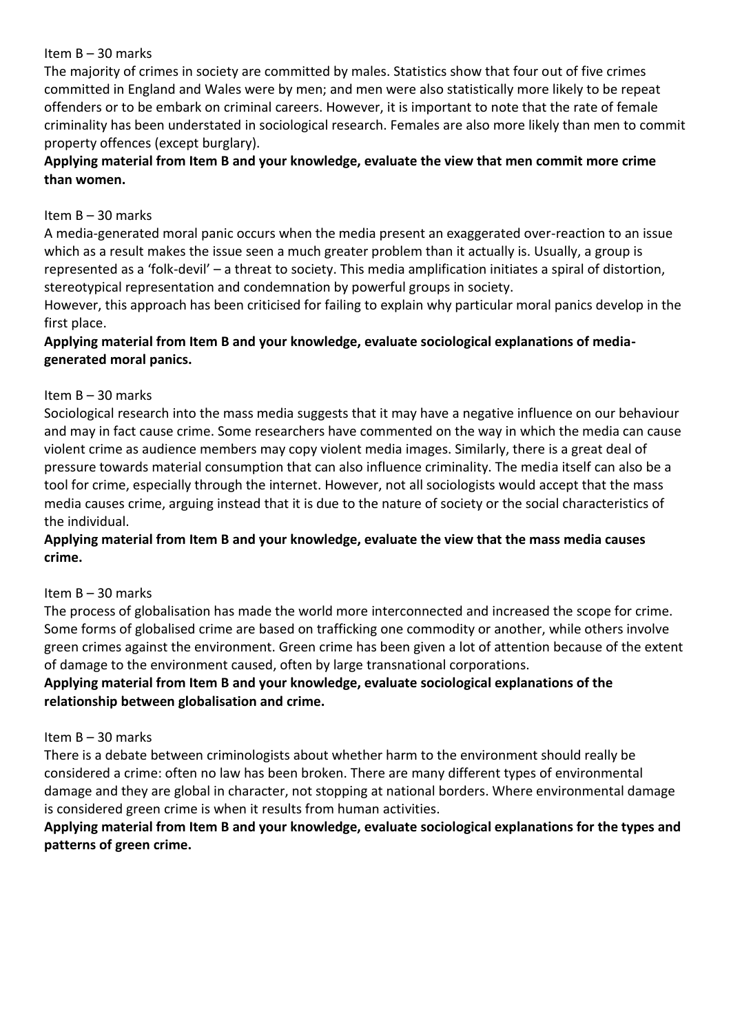The majority of crimes in society are committed by males. Statistics show that four out of five crimes committed in England and Wales were by men; and men were also statistically more likely to be repeat offenders or to be embark on criminal careers. However, it is important to note that the rate of female criminality has been understated in sociological research. Females are also more likely than men to commit property offences (except burglary).

# **Applying material from Item B and your knowledge, evaluate the view that men commit more crime than women.**

# Item B – 30 marks

A media-generated moral panic occurs when the media present an exaggerated over-reaction to an issue which as a result makes the issue seen a much greater problem than it actually is. Usually, a group is represented as a 'folk-devil' – a threat to society. This media amplification initiates a spiral of distortion, stereotypical representation and condemnation by powerful groups in society.

However, this approach has been criticised for failing to explain why particular moral panics develop in the first place.

# **Applying material from Item B and your knowledge, evaluate sociological explanations of mediagenerated moral panics.**

# Item B – 30 marks

Sociological research into the mass media suggests that it may have a negative influence on our behaviour and may in fact cause crime. Some researchers have commented on the way in which the media can cause violent crime as audience members may copy violent media images. Similarly, there is a great deal of pressure towards material consumption that can also influence criminality. The media itself can also be a tool for crime, especially through the internet. However, not all sociologists would accept that the mass media causes crime, arguing instead that it is due to the nature of society or the social characteristics of the individual.

**Applying material from Item B and your knowledge, evaluate the view that the mass media causes crime.**

#### Item B – 30 marks

The process of globalisation has made the world more interconnected and increased the scope for crime. Some forms of globalised crime are based on trafficking one commodity or another, while others involve green crimes against the environment. Green crime has been given a lot of attention because of the extent of damage to the environment caused, often by large transnational corporations.

**Applying material from Item B and your knowledge, evaluate sociological explanations of the relationship between globalisation and crime.**

#### Item B – 30 marks

There is a debate between criminologists about whether harm to the environment should really be considered a crime: often no law has been broken. There are many different types of environmental damage and they are global in character, not stopping at national borders. Where environmental damage is considered green crime is when it results from human activities.

# **Applying material from Item B and your knowledge, evaluate sociological explanations for the types and patterns of green crime.**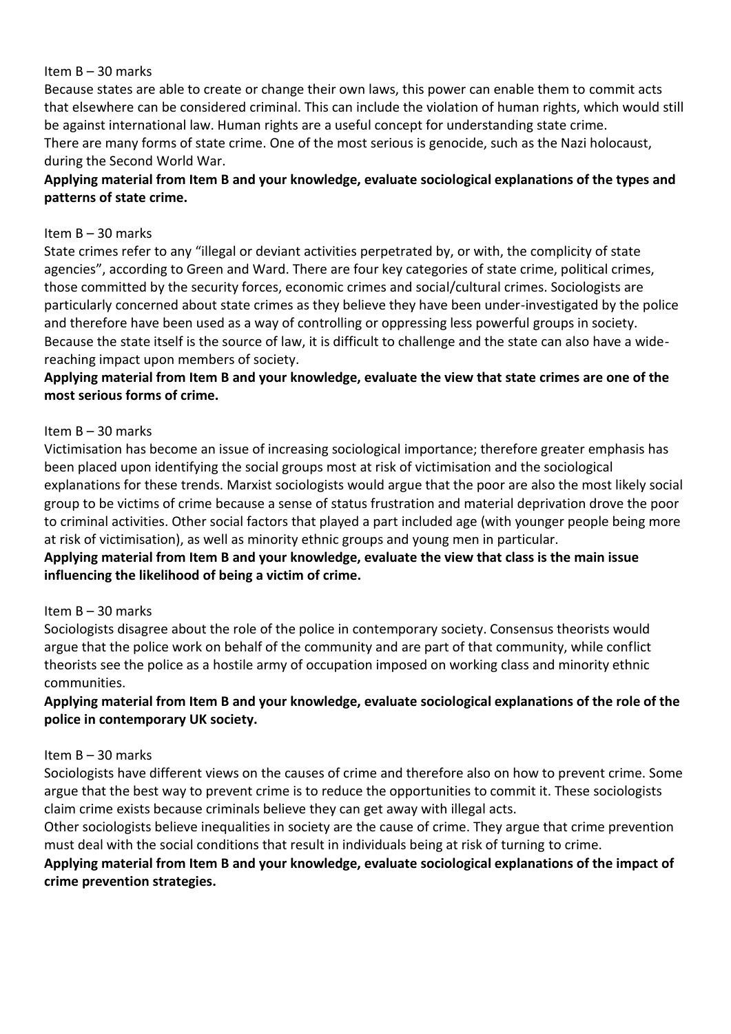Because states are able to create or change their own laws, this power can enable them to commit acts that elsewhere can be considered criminal. This can include the violation of human rights, which would still be against international law. Human rights are a useful concept for understanding state crime. There are many forms of state crime. One of the most serious is genocide, such as the Nazi holocaust, during the Second World War.

# **Applying material from Item B and your knowledge, evaluate sociological explanations of the types and patterns of state crime.**

#### Item B – 30 marks

State crimes refer to any "illegal or deviant activities perpetrated by, or with, the complicity of state agencies", according to Green and Ward. There are four key categories of state crime, political crimes, those committed by the security forces, economic crimes and social/cultural crimes. Sociologists are particularly concerned about state crimes as they believe they have been under-investigated by the police and therefore have been used as a way of controlling or oppressing less powerful groups in society. Because the state itself is the source of law, it is difficult to challenge and the state can also have a widereaching impact upon members of society.

# **Applying material from Item B and your knowledge, evaluate the view that state crimes are one of the most serious forms of crime.**

#### Item B – 30 marks

Victimisation has become an issue of increasing sociological importance; therefore greater emphasis has been placed upon identifying the social groups most at risk of victimisation and the sociological explanations for these trends. Marxist sociologists would argue that the poor are also the most likely social group to be victims of crime because a sense of status frustration and material deprivation drove the poor to criminal activities. Other social factors that played a part included age (with younger people being more at risk of victimisation), as well as minority ethnic groups and young men in particular.

# **Applying material from Item B and your knowledge, evaluate the view that class is the main issue influencing the likelihood of being a victim of crime.**

#### Item B – 30 marks

Sociologists disagree about the role of the police in contemporary society. Consensus theorists would argue that the police work on behalf of the community and are part of that community, while conflict theorists see the police as a hostile army of occupation imposed on working class and minority ethnic communities.

# **Applying material from Item B and your knowledge, evaluate sociological explanations of the role of the police in contemporary UK society.**

#### Item B – 30 marks

Sociologists have different views on the causes of crime and therefore also on how to prevent crime. Some argue that the best way to prevent crime is to reduce the opportunities to commit it. These sociologists claim crime exists because criminals believe they can get away with illegal acts.

Other sociologists believe inequalities in society are the cause of crime. They argue that crime prevention must deal with the social conditions that result in individuals being at risk of turning to crime.

# **Applying material from Item B and your knowledge, evaluate sociological explanations of the impact of crime prevention strategies.**